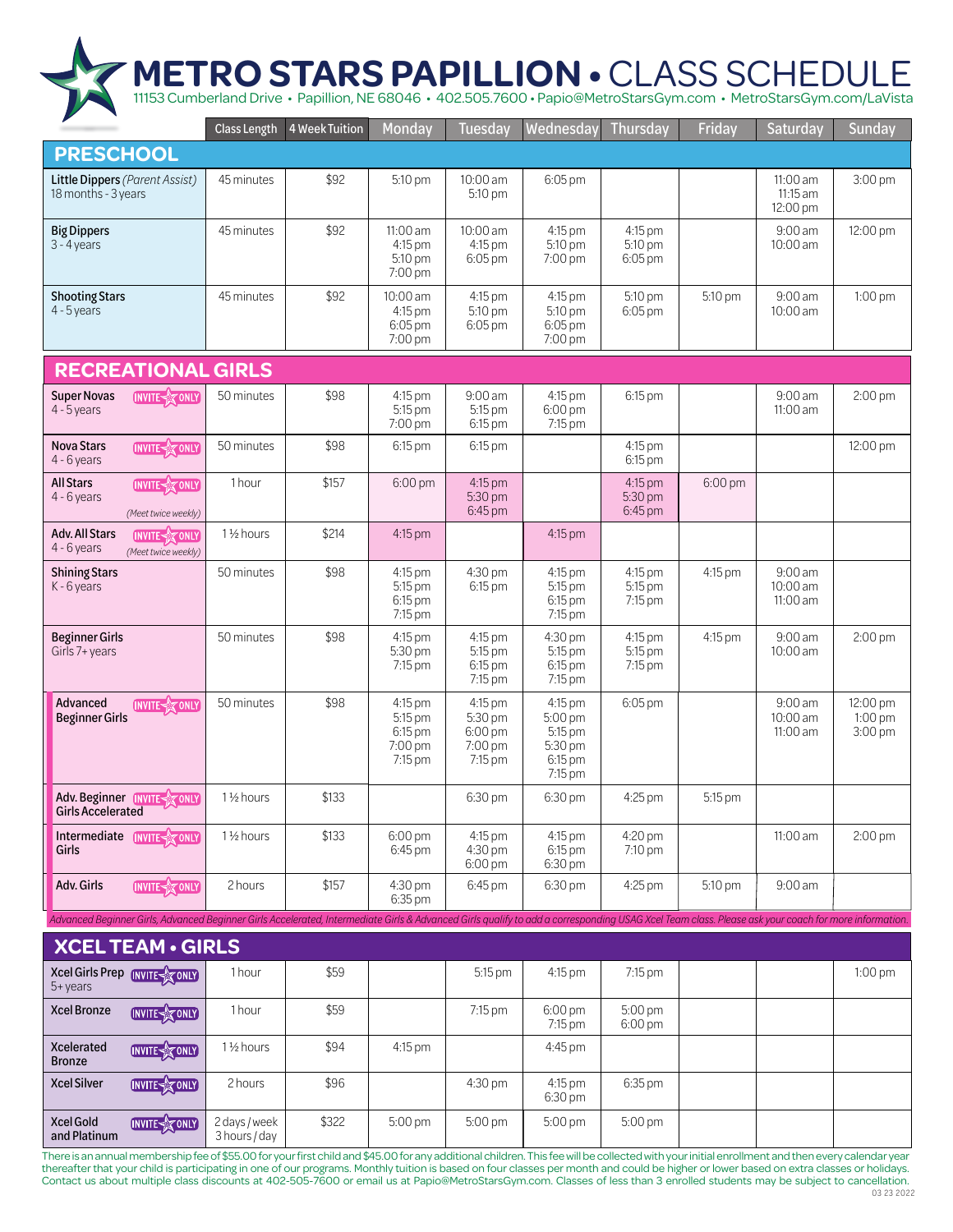## 11153 Cumberland Drive • Papillion, NE 68046 • 402.505.7600 • Papio@MetroStarsGym.com • MetroStarsGym.com/LaVista **METRO STARS PAPILLION •** CLASS SCHEDULE

Class Length 4 Week Tuition Monday Tuesday Wednesday Thursday Friday **Saturday Sunday PRESCHOOL** Little Dippers *(Parent Assist)* 45 minutes | \$92 5:10 pm | 10:00 am 6:05 pm 11:00 am 3:00 pm 18 months - 3 years 5:10 pm 11:15 am 12:00 pm 9:00 am Big Dippers 45 minutes | \$92 11:00 am 10:00 am 4:15 pm 4:15 pm 12:00 pm 3 - 4 years 4:15 pm 4:15 pm 5:10 pm 5:10 pm 10:00 am 5:10 pm 6:05 pm 7:00 pm 6:05 pm 7:00 pm 10:00 am 5:10 pm 9:00 am Shooting Stars 45 minutes **\$92** 4:15 pm 4:15 pm 5:10 pm 1:00 pm 4:15 pm 5:10 pm 5:10 pm 4 - 5 years 6:05 pm 10:00 am 6:05 pm 6:05 pm 6:05 pm 7:00 pm 7:00 pm **RECREATIONAL GIRLS** Super Novas 50 minutes \$98 4:15 pm 9:00 am 4:15 pm 6:15 pm | 9:00 am 2:00 pm **INVITE** TONLY 5:15 pm 4 - 5 years 5:15 pm 6:00 pm 11:00 am 7:00 pm 6:15 pm 7:15 pm Nova Stars 50 minutes | \$98 | 6:15 pm | 6:15 pm | 4:15 pm 6:15 pm 12:00 pm **INVITE** TONLY 4 - 6 years 6:15 pm All Stars 4:15 pm **INVITE** X ONLY 1 hour \$157 6:00 pm | 4:15 pm | 4:15 pm | 6:00 pm 4:15 pm 5:30 pm 5:30 pm 4 - 6 years 6:45 pm 6:45 pm *(Meet twice weekly)* Adv. All Stars 1<sup>1</sup>/<sub>2</sub> hours | \$214 4:15 pm 4:15 pm **INVITE** TO ONLY 4 - 6 years *(Meet twice weekly)* 50 minutes 4:15 pm 4:30 pm 4:15 pm 4:15 pm 9:00 am Shining Stars \$98 4:15 pm K - 6 years 5:15 pm 6:15 pm 5:15 pm 5:15 pm 10:00 am 6:15 pm 7:15 pm 6:15 pm 11:00 am 7:15 pm 7:15 pm Beginner Girls 4:15 pm 4:15 pm 4:30 pm 4:15 pm 50 minutes \$98 4:15 pm 9:00 am 2:00 pm Girls 7+ years 5:30 pm 5:15 pm 5:15 pm 5:15 pm 10:00 am 7:15 pm 6:15 pm 6:15 pm 7:15 pm 7:15 pm 7:15 pm Advanced 50 minutes \$98 4:15 pm 4:15 pm 4:15 pm 6:05 pm 9:00 am 12:00 pm **INVITE** Beginner Girls 5:15 pm 5:30 pm 5:00 pm 10:00 am 1:00 pm 3:00 pm  $6:00$  pm 5:15 pm 11:00 am 6:15 pm 5:30 pm 7:00 pm 7:00 pm 7:15 pm 7:15 pm 6:15 pm 7:15 pm Adv. Beginner INVITE 1<sup>1</sup>/<sub>2</sub> hours | \$133 6:30 pm6:30 pm 4:25 pm 5:15 pm Girls Accelerated 4:20 pm Intermediate INVITE 1 ½ hours \$133 6:00 pm 4:15 pm 4:15 pm 11:00 am 2:00 pm Girls 6:45 pm 4:30 pm 6:15 pm 7:10 pm 6:00 pm 6:30 pm Adv. Girls **INVITE** MONLY 2 hours \$157 4:30 pm 9:00 am 6:45 pm | 6:30 pm | 4:25 pm | 5:10 pm 6:35 pm *Advanced Beginner Girls, Advanced Beginner Girls Accelerated, Intermediate Girls & Advanced Girls qualify to add a corresponding USAG Xcel Team class. Please ask your coach for more information.*

**XCEL TEAM • GIRLS** Xcel Girls Prep INVITE X ONLY 1 hour **1** \$59 4:15 pm 5:15 pm 7:15 pm 1:00 pm 5+ years 6:00 pm 5:00 pm Xcel Bronze **INVITE MONEY 1 hour** \$59 7:15 pm 7:15 pm 6:00 pm Xcelerated  $1\frac{1}{2}$  hours  $\frac{1}{2}$  \$94 4:15 pm 4:45 pm **INVITE**<sub>2</sub> ONLY Bronze Xcel Silver **INVITE** YONLY 2 hours \$96  $4:30 \text{ pm}$  |  $4:15 \text{ pm}$  |  $6:35 \text{ pm}$ 4:15 pm 6:30 pm Xcel Gold 2 days / week | \$322 | 5:00 pm | 5:00 pm 5:00 pm 5:00 pm **INVITE X** ONLY \$322 3 hours / day and Platinum

There is an annual membership fee of \$55.00 for your first child and \$45.00 for any additional children. This fee will be collected with your initial enrollment and then every calendar year thereafter that your child is participating in one of our programs. Monthly tuition is based on four classes per month and could be higher or lower based on extra classes or holidays. Contact us about multiple class discounts at 402-505-7600 or email us at Papio@MetroStarsGym.com. Classes of less than 3 enrolled students may be subject to cancellation. 03 23 2022